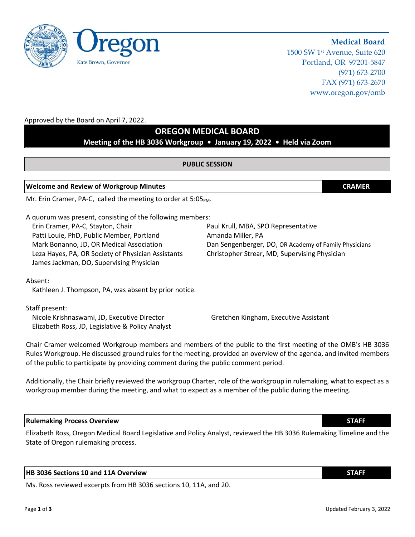1500 SW 1st Avenue, Suite 620 Portland, OR 97201-5847 (971) 673-2700 FAX (971) 673-2670 www.oregon.gov/omb

**Medical Board**

## Approved by the Board on April 7, 2022.

## **OREGON MEDICAL BOARD**

**Meeting of the HB 3036 Workgroup • January 19, 2022 • Held via Zoom**

#### **PUBLIC SESSION**

#### **Welcome and Review of Workgroup Minutes CRAMER**

Mr. Erin Cramer, PA-C, called the meeting to order at  $5:05<sub>PM</sub>$ .

A quorum was present, consisting of the following members: Erin Cramer, PA-C, Stayton, Chair Paul Chair Paul Krull, MBA, SPO Representative Patti Louie, PhD, Public Member, Portland Amanda Miller, PA Leza Hayes, PA, OR Society of Physician Assistants Christopher Strear, MD, Supervising Physician James Jackman, DO, Supervising Physician

Mark Bonanno, JD, OR Medical Association Dan Sengenberger, DO, OR Academy of Family Physicians

Absent:

Kathleen J. Thompson, PA, was absent by prior notice.

Staff present:

Nicole Krishnaswami, JD, Executive Director Gretchen Kingham, Executive Assistant Elizabeth Ross, JD, Legislative & Policy Analyst

Chair Cramer welcomed Workgroup members and members of the public to the first meeting of the OMB's HB 3036 Rules Workgroup. He discussed ground rules for the meeting, provided an overview of the agenda, and invited members

Additionally, the Chair briefly reviewed the workgroup Charter, role of the workgroup in rulemaking, what to expect as a workgroup member during the meeting, and what to expect as a member of the public during the meeting.

#### **Rulemaking Process Overview STAFF**

Elizabeth Ross, Oregon Medical Board Legislative and Policy Analyst, reviewed the HB 3036 Rulemaking Timeline and the State of Oregon rulemaking process.

## **HB 3036 Sections 10 and 11A Overview STAFF**

Ms. Ross reviewed excerpts from HB 3036 sections 10, 11A, and 20.

of the public to participate by providing comment during the public comment period.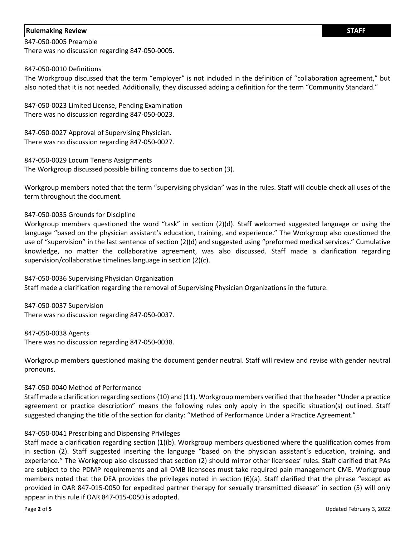#### **Rulemaking Review STAFF**

# 847-050-0005 Preamble

There was no discussion regarding 847-050-0005.

#### 847-050-0010 Definitions

The Workgroup discussed that the term "employer" is not included in the definition of "collaboration agreement," but also noted that it is not needed. Additionally, they discussed adding a definition for the term "Community Standard."

847-050-0023 Limited License, Pending Examination There was no discussion regarding 847-050-0023.

847-050-0027 Approval of Supervising Physician. There was no discussion regarding 847-050-0027.

847-050-0029 Locum Tenens Assignments The Workgroup discussed possible billing concerns due to section (3).

Workgroup members noted that the term "supervising physician" was in the rules. Staff will double check all uses of the term throughout the document.

#### 847-050-0035 Grounds for Discipline

Workgroup members questioned the word "task" in section (2)(d). Staff welcomed suggested language or using the language "based on the physician assistant's education, training, and experience." The Workgroup also questioned the use of "supervision" in the last sentence of section (2)(d) and suggested using "preformed medical services." Cumulative knowledge, no matter the collaborative agreement, was also discussed. Staff made a clarification regarding supervision/collaborative timelines language in section (2)(c).

847-050-0036 Supervising Physician Organization Staff made a clarification regarding the removal of Supervising Physician Organizations in the future.

847-050-0037 Supervision There was no discussion regarding 847-050-0037.

847-050-0038 Agents There was no discussion regarding 847-050-0038.

Workgroup members questioned making the document gender neutral. Staff will review and revise with gender neutral pronouns.

## 847-050-0040 Method of Performance

Staff made a clarification regarding sections (10) and (11). Workgroup members verified that the header "Under a practice agreement or practice description" means the following rules only apply in the specific situation(s) outlined. Staff suggested changing the title of the section for clarity: "Method of Performance Under a Practice Agreement."

## 847-050-0041 Prescribing and Dispensing Privileges

Staff made a clarification regarding section (1)(b). Workgroup members questioned where the qualification comes from in section (2). Staff suggested inserting the language "based on the physician assistant's education, training, and experience." The Workgroup also discussed that section (2) should mirror other licensees' rules. Staff clarified that PAs are subject to the PDMP requirements and all OMB licensees must take required pain management CME. Workgroup members noted that the DEA provides the privileges noted in section (6)(a). Staff clarified that the phrase "except as provided in OAR 847-015-0050 for expedited partner therapy for sexually transmitted disease" in section (5) will only appear in this rule if OAR 847-015-0050 is adopted.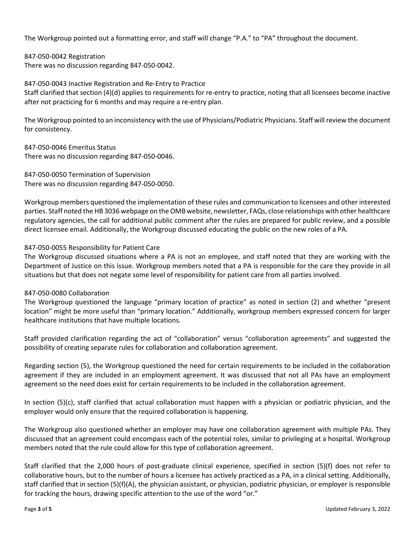The Workgroup pointed out a formatting error, and staff will change "P.A." to "PA" throughout the document.

847-050-0042 Registration There was no discussion regarding 847-050-0042.

847-050-0043 Inactive Registration and Re-Entry to Practice Staff clarified that section (4)(d) applies to requirements for re-entry to practice, noting that all licensees become inactive after not practicing for 6 months and may require a re-entry plan.

The Workgroup pointed to an inconsistency with the use of Physicians/Podiatric Physicians. Staff will review the document for consistency.

847-050-0046 Emeritus Status There was no discussion regarding 847-050-0046.

847-050-0050 Termination of Supervision There was no discussion regarding 847-050-0050.

Workgroup members questioned the implementation of these rules and communication to licensees and other interested parties. Staff noted the HB 3036 webpage on the OMB website, newsletter, FAQs, close relationships with other healthcare regulatory agencies, the call for additional public comment after the rules are prepared for public review, and a possible direct licensee email. Additionally, the Workgroup discussed educating the public on the new roles of a PA.

## 847-050-0055 Responsibility for Patient Care

The Workgroup discussed situations where a PA is not an employee, and staff noted that they are working with the Department of Justice on this issue. Workgroup members noted that a PA is responsible for the care they provide in all situations but that does not negate some level of responsibility for patient care from all parties involved.

## 847-050-0080 Collaboration

The Workgroup questioned the language "primary location of practice" as noted in section (2) and whether "present location" might be more useful than "primary location." Additionally, workgroup members expressed concern for larger healthcare institutions that have multiple locations.

Staff provided clarification regarding the act of "collaboration" versus "collaboration agreements" and suggested the possibility of creating separate rules for collaboration and collaboration agreement.

Regarding section (5), the Workgroup questioned the need for certain requirements to be included in the collaboration agreement if they are included in an employment agreement. It was discussed that not all PAs have an employment agreement so the need does exist for certain requirements to be included in the collaboration agreement.

In section (5)(c), staff clarified that actual collaboration must happen with a physician or podiatric physician, and the employer would only ensure that the required collaboration is happening.

The Workgroup also questioned whether an employer may have one collaboration agreement with multiple PAs. They discussed that an agreement could encompass each of the potential roles, similar to privileging at a hospital. Workgroup members noted that the rule could allow for this type of collaboration agreement.

Staff clarified that the 2,000 hours of post-graduate clinical experience, specified in section (5)(f) does not refer to collaborative hours, but to the number of hours a licensee has actively practiced as a PA, in a clinical setting. Additionally, staff clarified that in section (5)(f)(A), the physician assistant, or physician, podiatric physician, or employer is responsible for tracking the hours, drawing specific attention to the use of the word "or."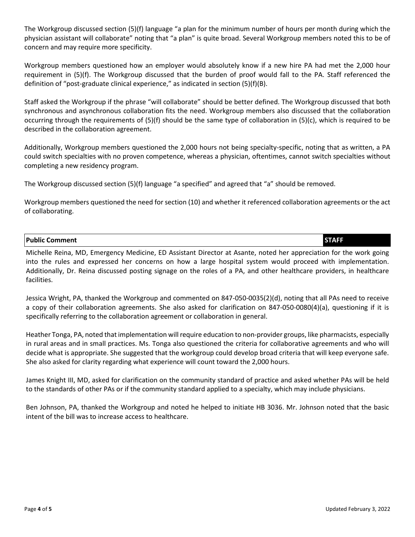The Workgroup discussed section (5)(f) language "a plan for the minimum number of hours per month during which the physician assistant will collaborate" noting that "a plan" is quite broad. Several Workgroup members noted this to be of concern and may require more specificity.

Workgroup members questioned how an employer would absolutely know if a new hire PA had met the 2,000 hour requirement in (5)(f). The Workgroup discussed that the burden of proof would fall to the PA. Staff referenced the definition of "post-graduate clinical experience," as indicated in section (5)(f)(B).

Staff asked the Workgroup if the phrase "will collaborate" should be better defined. The Workgroup discussed that both synchronous and asynchronous collaboration fits the need. Workgroup members also discussed that the collaboration occurring through the requirements of (5)(f) should be the same type of collaboration in (5)(c), which is required to be described in the collaboration agreement.

Additionally, Workgroup members questioned the 2,000 hours not being specialty-specific, noting that as written, a PA could switch specialties with no proven competence, whereas a physician, oftentimes, cannot switch specialties without completing a new residency program.

The Workgroup discussed section (5)(f) language "a specified" and agreed that "a" should be removed.

Workgroup members questioned the need for section (10) and whether it referenced collaboration agreements or the act of collaborating.

## **Public Comment STAFF**

Michelle Reina, MD, Emergency Medicine, ED Assistant Director at Asante, noted her appreciation for the work going into the rules and expressed her concerns on how a large hospital system would proceed with implementation. Additionally, Dr. Reina discussed posting signage on the roles of a PA, and other healthcare providers, in healthcare facilities.

Jessica Wright, PA, thanked the Workgroup and commented on 847-050-0035(2)(d), noting that all PAs need to receive a copy of their collaboration agreements. She also asked for clarification on 847-050-0080(4)(a), questioning if it is specifically referring to the collaboration agreement or collaboration in general.

Heather Tonga, PA, noted that implementation will require education to non-provider groups, like pharmacists, especially in rural areas and in small practices. Ms. Tonga also questioned the criteria for collaborative agreements and who will decide what is appropriate. She suggested that the workgroup could develop broad criteria that will keep everyone safe. She also asked for clarity regarding what experience will count toward the 2,000 hours.

James Knight III, MD, asked for clarification on the community standard of practice and asked whether PAs will be held to the standards of other PAs or if the community standard applied to a specialty, which may include physicians.

Ben Johnson, PA, thanked the Workgroup and noted he helped to initiate HB 3036. Mr. Johnson noted that the basic intent of the bill was to increase access to healthcare.